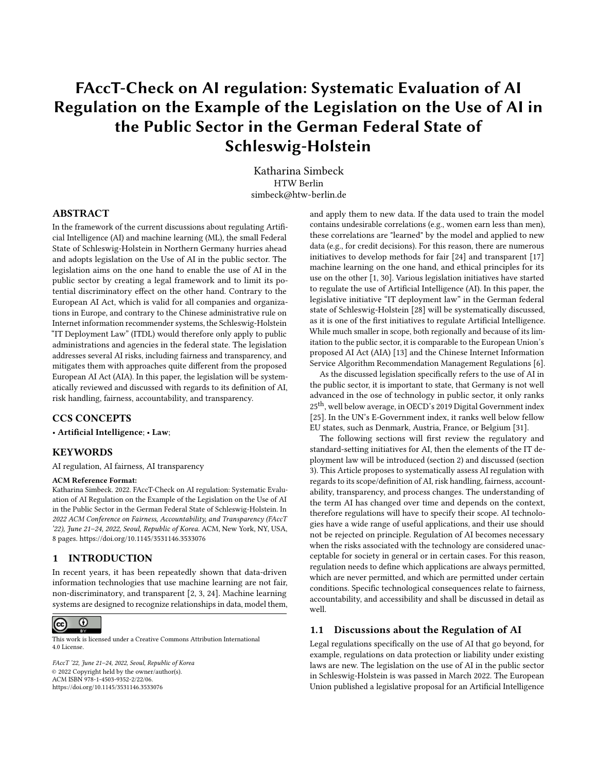# FAccT-Check on AI regulation: Systematic Evaluation of AI Regulation on the Example of the Legislation on the Use of AI in the Public Sector in the German Federal State of Schleswig-Holstein

Katharina Simbeck HTW Berlin simbeck@htw-berlin.de

#### ABSTRACT

In the framework of the current discussions about regulating Artificial Intelligence (AI) and machine learning (ML), the small Federal State of Schleswig-Holstein in Northern Germany hurries ahead and adopts legislation on the Use of AI in the public sector. The legislation aims on the one hand to enable the use of AI in the public sector by creating a legal framework and to limit its potential discriminatory effect on the other hand. Contrary to the European AI Act, which is valid for all companies and organizations in Europe, and contrary to the Chinese administrative rule on Internet information recommender systems, the Schleswig-Holstein "IT Deployment Law" (ITDL) would therefore only apply to public administrations and agencies in the federal state. The legislation addresses several AI risks, including fairness and transparency, and mitigates them with approaches quite different from the proposed European AI Act (AIA). In this paper, the legislation will be systematically reviewed and discussed with regards to its definition of AI, risk handling, fairness, accountability, and transparency.

#### CCS CONCEPTS

• Artificial Intelligence; • Law;

#### **KEYWORDS**

AI regulation, AI fairness, AI transparency

#### ACM Reference Format:

Katharina Simbeck. 2022. FAccT-Check on AI regulation: Systematic Evaluation of AI Regulation on the Example of the Legislation on the Use of AI in the Public Sector in the German Federal State of Schleswig-Holstein. In 2022 ACM Conference on Fairness, Accountability, and Transparency (FAccT '22), June 21–24, 2022, Seoul, Republic of Korea. ACM, New York, NY, USA, [8](#page-7-0) pages.<https://doi.org/10.1145/3531146.3533076>

#### 1 INTRODUCTION

In recent years, it has been repeatedly shown that data-driven information technologies that use machine learning are not fair, non-discriminatory, and transparent [\[2,](#page-7-1) [3,](#page-7-2) [24\]](#page-7-3). Machine learning systems are designed to recognize relationships in data, model them,



This work is licensed under a [Creative Commons Attribution International](https://creativecommons.org/licenses/by/4.0/) [4.0 License.](https://creativecommons.org/licenses/by/4.0/)

FAccT '22, June 21–24, 2022, Seoul, Republic of Korea © 2022 Copyright held by the owner/author(s). ACM ISBN 978-1-4503-9352-2/22/06. <https://doi.org/10.1145/3531146.3533076>

and apply them to new data. If the data used to train the model contains undesirable correlations (e.g., women earn less than men), these correlations are "learned" by the model and applied to new data (e.g., for credit decisions). For this reason, there are numerous initiatives to develop methods for fair [\[24\]](#page-7-3) and transparent [\[17\]](#page-7-4) machine learning on the one hand, and ethical principles for its use on the other [\[1,](#page-7-5) [30\]](#page-7-6). Various legislation initiatives have started to regulate the use of Artificial Intelligence (AI). In this paper, the legislative initiative "IT deployment law" in the German federal state of Schleswig-Holstein [\[28\]](#page-7-7) will be systematically discussed, as it is one of the first initiatives to regulate Artificial Intelligence. While much smaller in scope, both regionally and because of its limitation to the public sector, it is comparable to the European Union's proposed AI Act (AIA) [\[13\]](#page-7-8) and the Chinese Internet Information Service Algorithm Recommendation Management Regulations [\[6\]](#page-7-9).

As the discussed legislation specifically refers to the use of AI in the public sector, it is important to state, that Germany is not well advanced in the ose of technology in public sector, it only ranks 25<sup>th</sup>, well below average, in OECD's 2019 Digital Government index [\[25\]](#page-7-10). In the UN's E-Government index, it ranks well below fellow EU states, such as Denmark, Austria, France, or Belgium [\[31\]](#page-7-11).

The following sections will first review the regulatory and standard-setting initiatives for AI, then the elements of the IT deployment law will be introduced (section 2) and discussed (section 3). This Article proposes to systematically assess AI regulation with regards to its scope/definition of AI, risk handling, fairness, accountability, transparency, and process changes. The understanding of the term AI has changed over time and depends on the context, therefore regulations will have to specify their scope. AI technologies have a wide range of useful applications, and their use should not be rejected on principle. Regulation of AI becomes necessary when the risks associated with the technology are considered unacceptable for society in general or in certain cases. For this reason, regulation needs to define which applications are always permitted, which are never permitted, and which are permitted under certain conditions. Specific technological consequences relate to fairness, accountability, and accessibility and shall be discussed in detail as well.

#### 1.1 Discussions about the Regulation of AI

Legal regulations specifically on the use of AI that go beyond, for example, regulations on data protection or liability under existing laws are new. The legislation on the use of AI in the public sector in Schleswig-Holstein is was passed in March 2022. The European Union published a legislative proposal for an Artificial Intelligence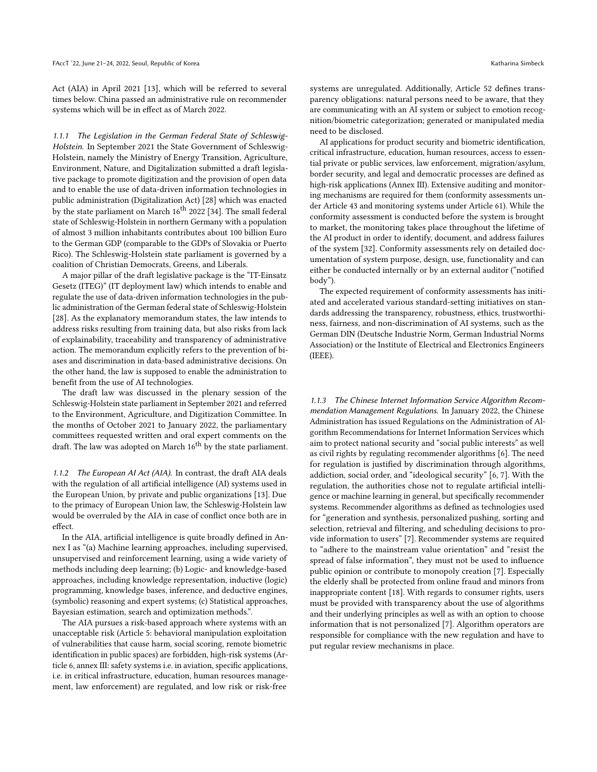Act (AIA) in April 2021 [\[13\]](#page-7-8), which will be referred to several times below. China passed an administrative rule on recommender systems which will be in effect as of March 2022.

1.1.1 The Legislation in the German Federal State of Schleswig-Holstein. In September 2021 the State Government of Schleswig-Holstein, namely the Ministry of Energy Transition, Agriculture, Environment, Nature, and Digitalization submitted a draft legislative package to promote digitization and the provision of open data and to enable the use of data-driven information technologies in public administration (Digitalization Act) [\[28\]](#page-7-7) which was enacted by the state parliament on March 16<sup>th</sup> 2022 [\[34\]](#page-7-12). The small federal state of Schleswig-Holstein in northern Germany with a population of almost 3 million inhabitants contributes about 100 billion Euro to the German GDP (comparable to the GDPs of Slovakia or Puerto Rico). The Schleswig-Holstein state parliament is governed by a coalition of Christian Democrats, Greens, and Liberals.

A major pillar of the draft legislative package is the "IT-Einsatz Gesetz (ITEG)" (IT deployment law) which intends to enable and regulate the use of data-driven information technologies in the public administration of the German federal state of Schleswig-Holstein [\[28\]](#page-7-7). As the explanatory memorandum states, the law intends to address risks resulting from training data, but also risks from lack of explainability, traceability and transparency of administrative action. The memorandum explicitly refers to the prevention of biases and discrimination in data-based administrative decisions. On the other hand, the law is supposed to enable the administration to benefit from the use of AI technologies.

The draft law was discussed in the plenary session of the Schleswig-Holstein state parliament in September 2021 and referred to the Environment, Agriculture, and Digitization Committee. In the months of October 2021 to January 2022, the parliamentary committees requested written and oral expert comments on the draft. The law was adopted on March  $16^{th}$  by the state parliament.

1.1.2 The European AI Act (AIA). In contrast, the draft AIA deals with the regulation of all artificial intelligence (AI) systems used in the European Union, by private and public organizations [\[13\]](#page-7-8). Due to the primacy of European Union law, the Schleswig-Holstein law would be overruled by the AIA in case of conflict once both are in effect.

In the AIA, artificial intelligence is quite broadly defined in Annex I as "(a) Machine learning approaches, including supervised, unsupervised and reinforcement learning, using a wide variety of methods including deep learning; (b) Logic- and knowledge-based approaches, including knowledge representation, inductive (logic) programming, knowledge bases, inference, and deductive engines, (symbolic) reasoning and expert systems; (c) Statistical approaches, Bayesian estimation, search and optimization methods.".

The AIA pursues a risk-based approach where systems with an unacceptable risk (Article 5: behavioral manipulation exploitation of vulnerabilities that cause harm, social scoring, remote biometric identification in public spaces) are forbidden, high-risk systems (Article 6, annex III: safety systems i.e. in aviation, specific applications, i.e. in critical infrastructure, education, human resources management, law enforcement) are regulated, and low risk or risk-free

systems are unregulated. Additionally, Article 52 defines transparency obligations: natural persons need to be aware, that they are communicating with an AI system or subject to emotion recognition/biometric categorization; generated or manipulated media need to be disclosed.

AI applications for product security and biometric identification, critical infrastructure, education, human resources, access to essential private or public services, law enforcement, migration/asylum, border security, and legal and democratic processes are defined as high-risk applications (Annex III). Extensive auditing and monitoring mechanisms are required for them (conformity assessments under Article 43 and monitoring systems under Article 61). While the conformity assessment is conducted before the system is brought to market, the monitoring takes place throughout the lifetime of the AI product in order to identify, document, and address failures of the system [\[32\]](#page-7-13). Conformity assessments rely on detailed documentation of system purpose, design, use, functionality and can either be conducted internally or by an external auditor ("notified body").

The expected requirement of conformity assessments has initiated and accelerated various standard-setting initiatives on standards addressing the transparency, robustness, ethics, trustworthiness, fairness, and non-discrimination of AI systems, such as the German DIN (Deutsche Industrie Norm, German Industrial Norms Association) or the Institute of Electrical and Electronics Engineers (IEEE).

1.1.3 The Chinese Internet Information Service Algorithm Recommendation Management Regulations. In January 2022, the Chinese Administration has issued Regulations on the Administration of Algorithm Recommendations for Internet Information Services which aim to protect national security and "social public interests" as well as civil rights by regulating recommender algorithms [\[6\]](#page-7-9). The need for regulation is justified by discrimination through algorithms, addiction, social order, and "ideological security" [\[6,](#page-7-9) [7\]](#page-7-14). With the regulation, the authorities chose not to regulate artificial intelligence or machine learning in general, but specifically recommender systems. Recommender algorithms as defined as technologies used for "generation and synthesis, personalized pushing, sorting and selection, retrieval and filtering, and scheduling decisions to provide information to users" [\[7\]](#page-7-14). Recommender systems are required to "adhere to the mainstream value orientation" and "resist the spread of false information", they must not be used to influence public opinion or contribute to monopoly creation [\[7\]](#page-7-14). Especially the elderly shall be protected from online fraud and minors from inappropriate content [\[18\]](#page-7-15). With regards to consumer rights, users must be provided with transparency about the use of algorithms and their underlying principles as well as with an option to choose information that is not personalized [\[7\]](#page-7-14). Algorithm operators are responsible for compliance with the new regulation and have to put regular review mechanisms in place.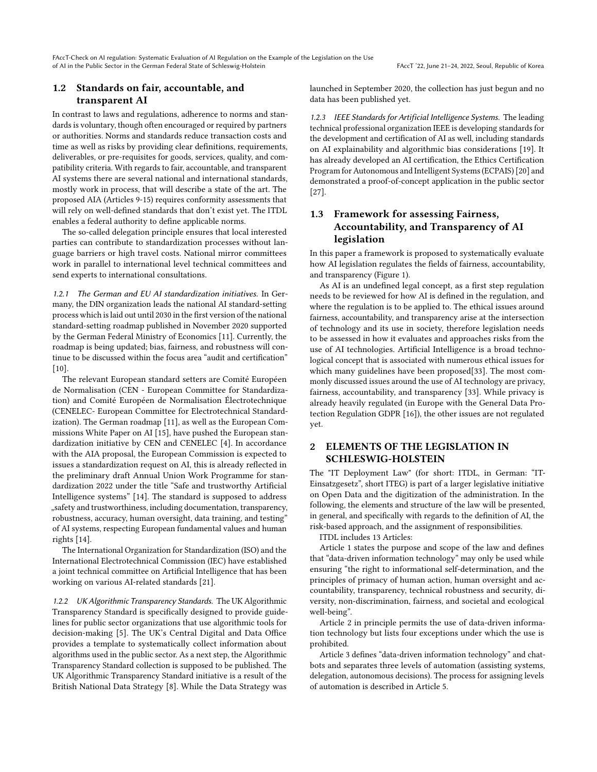## 1.2 Standards on fair, accountable, and transparent AI

In contrast to laws and regulations, adherence to norms and standards is voluntary, though often encouraged or required by partners or authorities. Norms and standards reduce transaction costs and time as well as risks by providing clear definitions, requirements, deliverables, or pre-requisites for goods, services, quality, and compatibility criteria. With regards to fair, accountable, and transparent AI systems there are several national and international standards, mostly work in process, that will describe a state of the art. The proposed AIA (Articles 9-15) requires conformity assessments that will rely on well-defined standards that don't exist yet. The ITDL enables a federal authority to define applicable norms.

The so-called delegation principle ensures that local interested parties can contribute to standardization processes without language barriers or high travel costs. National mirror committees work in parallel to international level technical committees and send experts to international consultations.

1.2.1 The German and EU AI standardization initiatives. In Germany, the DIN organization leads the national AI standard-setting process which is laid out until 2030 in the first version of the national standard-setting roadmap published in November 2020 supported by the German Federal Ministry of Economics [\[11\]](#page-7-16). Currently, the roadmap is being updated; bias, fairness, and robustness will continue to be discussed within the focus area "audit and certification" [\[10\]](#page-7-17).

The relevant European standard setters are Comité Européen de Normalisation (CEN - European Committee for Standardization) and Comité Européen de Normalisation Électrotechnique (CENELEC- European Committee for Electrotechnical Standardization). The German roadmap [\[11\]](#page-7-16), as well as the European Commissions White Paper on AI [\[15\]](#page-7-18), have pushed the European standardization initiative by CEN and CENELEC [\[4\]](#page-7-19). In accordance with the AIA proposal, the European Commission is expected to issues a standardization request on AI, this is already reflected in the preliminary draft Annual Union Work Programme for standardization 2022 under the title "Safe and trustworthy Artificial Intelligence systems" [\[14\]](#page-7-20). The standard is supposed to address "safety and trustworthiness, including documentation, transparency, robustness, accuracy, human oversight, data training, and testing" of AI systems, respecting European fundamental values and human rights [\[14\]](#page-7-20).

The International Organization for Standardization (ISO) and the International Electrotechnical Commission (IEC) have established a joint technical committee on Artificial Intelligence that has been working on various AI-related standards [\[21\]](#page-7-21).

1.2.2 UK Algorithmic Transparency Standards. The UK Algorithmic Transparency Standard is specifically designed to provide guidelines for public sector organizations that use algorithmic tools for decision-making [\[5\]](#page-7-22). The UK's Central Digital and Data Office provides a template to systematically collect information about algorithms used in the public sector. As a next step, the Algorithmic Transparency Standard collection is supposed to be published. The UK Algorithmic Transparency Standard initiative is a result of the British National Data Strategy [\[8\]](#page-7-23). While the Data Strategy was

launched in September 2020, the collection has just begun and no data has been published yet.

1.2.3 IEEE Standards for Artificial Intelligence Systems. The leading technical professional organization IEEE is developing standards for the development and certification of AI as well, including standards on AI explainability and algorithmic bias considerations [\[19\]](#page-7-24). It has already developed an AI certification, the Ethics Certification Program for Autonomous and Intelligent Systems (ECPAIS) [\[20\]](#page-7-25) and demonstrated a proof-of-concept application in the public sector [\[27\]](#page-7-26).

## 1.3 Framework for assessing Fairness, Accountability, and Transparency of AI legislation

In this paper a framework is proposed to systematically evaluate how AI legislation regulates the fields of fairness, accountability, and transparency (Figure [1\)](#page-3-0).

As AI is an undefined legal concept, as a first step regulation needs to be reviewed for how AI is defined in the regulation, and where the regulation is to be applied to. The ethical issues around fairness, accountability, and transparency arise at the intersection of technology and its use in society, therefore legislation needs to be assessed in how it evaluates and approaches risks from the use of AI technologies. Artificial Intelligence is a broad technological concept that is associated with numerous ethical issues for which many guidelines have been proposed[\[33\]](#page-7-27). The most commonly discussed issues around the use of AI technology are privacy, fairness, accountability, and transparency [\[33\]](#page-7-27). While privacy is already heavily regulated (in Europe with the General Data Protection Regulation GDPR [\[16\]](#page-7-28)), the other issues are not regulated yet.

## 2 ELEMENTS OF THE LEGISLATION IN SCHLESWIG-HOLSTEIN

The "IT Deployment Law" (for short: ITDL, in German: "IT-Einsatzgesetz", short ITEG) is part of a larger legislative initiative on Open Data and the digitization of the administration. In the following, the elements and structure of the law will be presented, in general, and specifically with regards to the definition of AI, the risk-based approach, and the assignment of responsibilities.

ITDL includes 13 Articles:

Article 1 states the purpose and scope of the law and defines that "data-driven information technology" may only be used while ensuring "the right to informational self-determination, and the principles of primacy of human action, human oversight and accountability, transparency, technical robustness and security, diversity, non-discrimination, fairness, and societal and ecological well-being".

Article 2 in principle permits the use of data-driven information technology but lists four exceptions under which the use is prohibited.

Article 3 defines "data-driven information technology" and chatbots and separates three levels of automation (assisting systems, delegation, autonomous decisions). The process for assigning levels of automation is described in Article 5.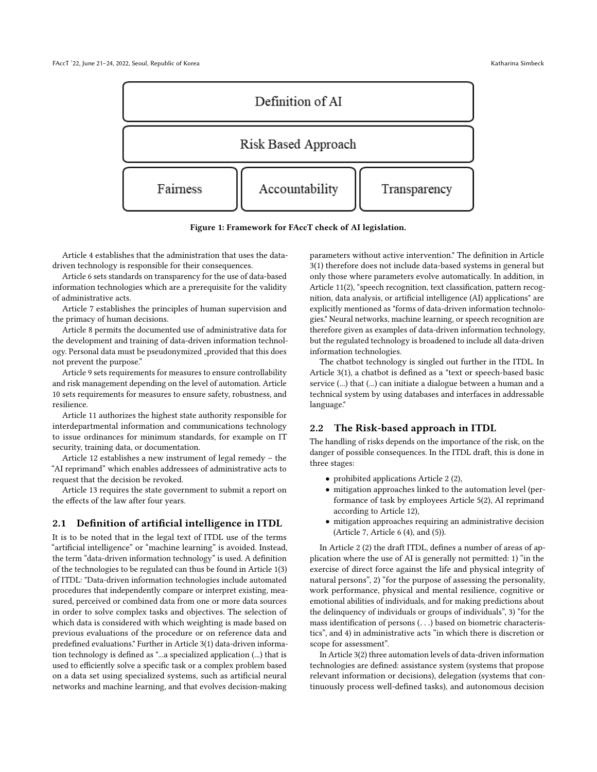<span id="page-3-0"></span>

Figure 1: Framework for FAccT check of AI legislation.

Article 4 establishes that the administration that uses the datadriven technology is responsible for their consequences.

Article 6 sets standards on transparency for the use of data-based information technologies which are a prerequisite for the validity of administrative acts.

Article 7 establishes the principles of human supervision and the primacy of human decisions.

Article 8 permits the documented use of administrative data for the development and training of data-driven information technology. Personal data must be pseudonymized "provided that this does not prevent the purpose."

Article 9 sets requirements for measures to ensure controllability and risk management depending on the level of automation. Article 10 sets requirements for measures to ensure safety, robustness, and resilience.

Article 11 authorizes the highest state authority responsible for interdepartmental information and communications technology to issue ordinances for minimum standards, for example on IT security, training data, or documentation.

Article 12 establishes a new instrument of legal remedy – the "AI reprimand" which enables addressees of administrative acts to request that the decision be revoked.

Article 13 requires the state government to submit a report on the effects of the law after four years.

#### 2.1 Definition of artificial intelligence in ITDL

It is to be noted that in the legal text of ITDL use of the terms "artificial intelligence" or "machine learning" is avoided. Instead, the term "data-driven information technology" is used. A definition of the technologies to be regulated can thus be found in Article 1(3) of ITDL: "Data-driven information technologies include automated procedures that independently compare or interpret existing, measured, perceived or combined data from one or more data sources in order to solve complex tasks and objectives. The selection of which data is considered with which weighting is made based on previous evaluations of the procedure or on reference data and predefined evaluations." Further in Article 3(1) data-driven information technology is defined as "...a specialized application (...) that is used to efficiently solve a specific task or a complex problem based on a data set using specialized systems, such as artificial neural networks and machine learning, and that evolves decision-making

parameters without active intervention." The definition in Article 3(1) therefore does not include data-based systems in general but only those where parameters evolve automatically. In addition, in Article 11(2), "speech recognition, text classification, pattern recognition, data analysis, or artificial intelligence (AI) applications" are explicitly mentioned as "forms of data-driven information technologies." Neural networks, machine learning, or speech recognition are therefore given as examples of data-driven information technology, but the regulated technology is broadened to include all data-driven information technologies.

The chatbot technology is singled out further in the ITDL. In Article 3(1), a chatbot is defined as a "text or speech-based basic service (...) that (...) can initiate a dialogue between a human and a technical system by using databases and interfaces in addressable language."

#### 2.2 The Risk-based approach in ITDL

The handling of risks depends on the importance of the risk, on the danger of possible consequences. In the ITDL draft, this is done in three stages:

- prohibited applications Article 2 (2),
- mitigation approaches linked to the automation level (performance of task by employees Article 5(2), AI reprimand according to Article 12),
- mitigation approaches requiring an administrative decision (Article 7, Article 6 (4), and (5)).

In Article 2 (2) the draft ITDL, defines a number of areas of application where the use of AI is generally not permitted: 1) "in the exercise of direct force against the life and physical integrity of natural persons", 2) "for the purpose of assessing the personality, work performance, physical and mental resilience, cognitive or emotional abilities of individuals, and for making predictions about the delinquency of individuals or groups of individuals", 3) "for the mass identification of persons (. . .) based on biometric characteristics", and 4) in administrative acts "in which there is discretion or scope for assessment".

In Article 3(2) three automation levels of data-driven information technologies are defined: assistance system (systems that propose relevant information or decisions), delegation (systems that continuously process well-defined tasks), and autonomous decision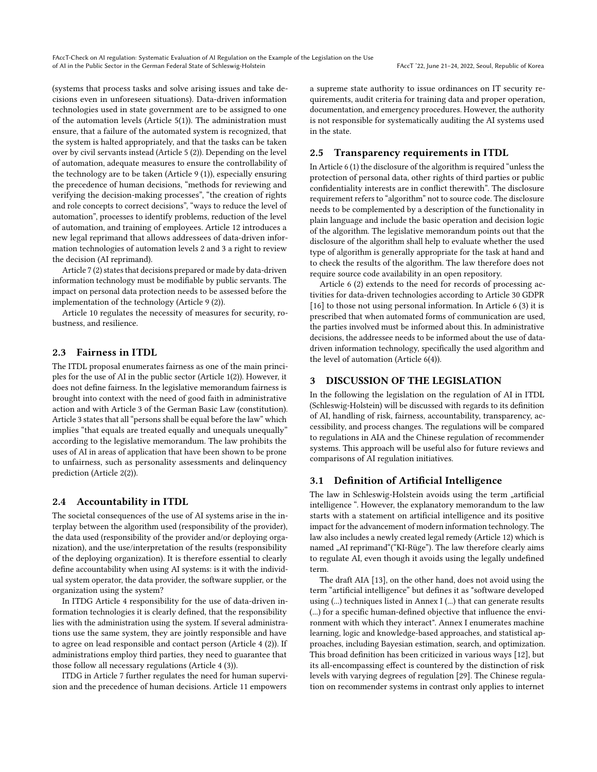(systems that process tasks and solve arising issues and take decisions even in unforeseen situations). Data-driven information technologies used in state government are to be assigned to one of the automation levels (Article 5(1)). The administration must ensure, that a failure of the automated system is recognized, that the system is halted appropriately, and that the tasks can be taken over by civil servants instead (Article 5 (2)). Depending on the level of automation, adequate measures to ensure the controllability of the technology are to be taken (Article 9 (1)), especially ensuring the precedence of human decisions, "methods for reviewing and verifying the decision-making processes", "the creation of rights and role concepts to correct decisions", "ways to reduce the level of automation", processes to identify problems, reduction of the level of automation, and training of employees. Article 12 introduces a new legal reprimand that allows addressees of data-driven information technologies of automation levels 2 and 3 a right to review the decision (AI reprimand).

Article 7 (2) states that decisions prepared or made by data-driven information technology must be modifiable by public servants. The impact on personal data protection needs to be assessed before the implementation of the technology (Article 9 (2)).

Article 10 regulates the necessity of measures for security, robustness, and resilience.

## 2.3 Fairness in ITDL

The ITDL proposal enumerates fairness as one of the main principles for the use of AI in the public sector (Article 1(2)). However, it does not define fairness. In the legislative memorandum fairness is brought into context with the need of good faith in administrative action and with Article 3 of the German Basic Law (constitution). Article 3 states that all "persons shall be equal before the law" which implies "that equals are treated equally and unequals unequally" according to the legislative memorandum. The law prohibits the uses of AI in areas of application that have been shown to be prone to unfairness, such as personality assessments and delinquency prediction (Article 2(2)).

#### 2.4 Accountability in ITDL

The societal consequences of the use of AI systems arise in the interplay between the algorithm used (responsibility of the provider), the data used (responsibility of the provider and/or deploying organization), and the use/interpretation of the results (responsibility of the deploying organization). It is therefore essential to clearly define accountability when using AI systems: is it with the individual system operator, the data provider, the software supplier, or the organization using the system?

In ITDG Article 4 responsibility for the use of data-driven information technologies it is clearly defined, that the responsibility lies with the administration using the system. If several administrations use the same system, they are jointly responsible and have to agree on lead responsible and contact person (Article 4 (2)). If administrations employ third parties, they need to guarantee that those follow all necessary regulations (Article 4 (3)).

ITDG in Article 7 further regulates the need for human supervision and the precedence of human decisions. Article 11 empowers

a supreme state authority to issue ordinances on IT security requirements, audit criteria for training data and proper operation, documentation, and emergency procedures. However, the authority is not responsible for systematically auditing the AI systems used in the state.

#### 2.5 Transparency requirements in ITDL

In Article 6 (1) the disclosure of the algorithm is required "unless the protection of personal data, other rights of third parties or public confidentiality interests are in conflict therewith". The disclosure requirement refers to "algorithm" not to source code. The disclosure needs to be complemented by a description of the functionality in plain language and include the basic operation and decision logic of the algorithm. The legislative memorandum points out that the disclosure of the algorithm shall help to evaluate whether the used type of algorithm is generally appropriate for the task at hand and to check the results of the algorithm. The law therefore does not require source code availability in an open repository.

Article 6 (2) extends to the need for records of processing activities for data-driven technologies according to Article 30 GDPR [\[16\]](#page-7-28) to those not using personal information. In Article 6 (3) it is prescribed that when automated forms of communication are used, the parties involved must be informed about this. In administrative decisions, the addressee needs to be informed about the use of datadriven information technology, specifically the used algorithm and the level of automation (Article 6(4)).

### 3 DISCUSSION OF THE LEGISLATION

In the following the legislation on the regulation of AI in ITDL (Schleswig-Holstein) will be discussed with regards to its definition of AI, handling of risk, fairness, accountability, transparency, accessibility, and process changes. The regulations will be compared to regulations in AIA and the Chinese regulation of recommender systems. This approach will be useful also for future reviews and comparisons of AI regulation initiatives.

#### 3.1 Definition of Artificial Intelligence

The law in Schleswig-Holstein avoids using the term "artificial intelligence ". However, the explanatory memorandum to the law starts with a statement on artificial intelligence and its positive impact for the advancement of modern information technology. The law also includes a newly created legal remedy (Article 12) which is named "AI reprimand"("KI-Rüge"). The law therefore clearly aims to regulate AI, even though it avoids using the legally undefined term.

The draft AIA [\[13\]](#page-7-8), on the other hand, does not avoid using the term "artificial intelligence" but defines it as "software developed using (...) techniques listed in Annex I (...) that can generate results (...) for a specific human-defined objective that influence the environment with which they interact". Annex I enumerates machine learning, logic and knowledge-based approaches, and statistical approaches, including Bayesian estimation, search, and optimization. This broad definition has been criticized in various ways [\[12\]](#page-7-29), but its all-encompassing effect is countered by the distinction of risk levels with varying degrees of regulation [\[29\]](#page-7-30). The Chinese regulation on recommender systems in contrast only applies to internet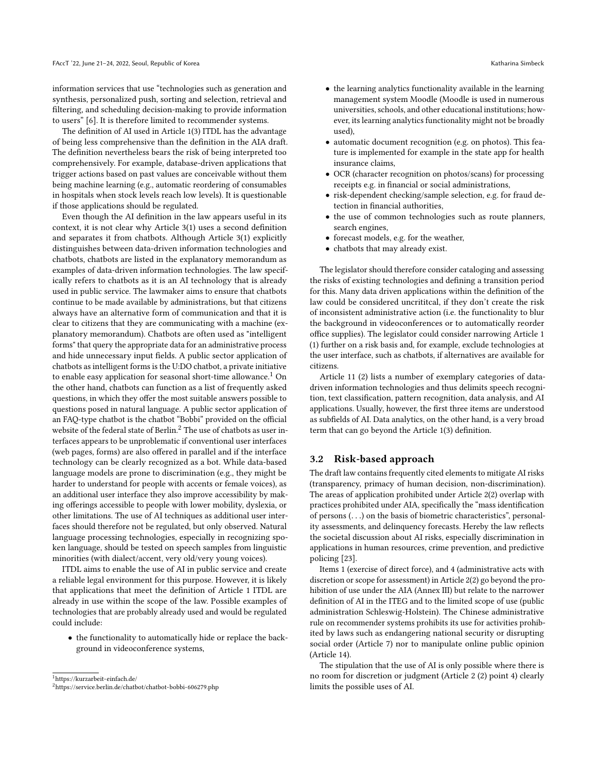information services that use "technologies such as generation and synthesis, personalized push, sorting and selection, retrieval and filtering, and scheduling decision-making to provide information to users" [\[6\]](#page-7-9). It is therefore limited to recommender systems.

The definition of AI used in Article 1(3) ITDL has the advantage of being less comprehensive than the definition in the AIA draft. The definition nevertheless bears the risk of being interpreted too comprehensively. For example, database-driven applications that trigger actions based on past values are conceivable without them being machine learning (e.g., automatic reordering of consumables in hospitals when stock levels reach low levels). It is questionable if those applications should be regulated.

Even though the AI definition in the law appears useful in its context, it is not clear why Article 3(1) uses a second definition and separates it from chatbots. Although Article 3(1) explicitly distinguishes between data-driven information technologies and chatbots, chatbots are listed in the explanatory memorandum as examples of data-driven information technologies. The law specifically refers to chatbots as it is an AI technology that is already used in public service. The lawmaker aims to ensure that chatbots continue to be made available by administrations, but that citizens always have an alternative form of communication and that it is clear to citizens that they are communicating with a machine (explanatory memorandum). Chatbots are often used as "intelligent forms" that query the appropriate data for an administrative process and hide unnecessary input fields. A public sector application of chatbots as intelligent forms is the U:DO chatbot, a private initiative to enable easy application for seasonal short-time allowance.<sup>[1](#page-5-0)</sup> On the other hand, chatbots can function as a list of frequently asked questions, in which they offer the most suitable answers possible to questions posed in natural language. A public sector application of an FAQ-type chatbot is the chatbot "Bobbi" provided on the official website of the federal state of Berlin.<sup>[2](#page-5-1)</sup> The use of chatbots as user interfaces appears to be unproblematic if conventional user interfaces (web pages, forms) are also offered in parallel and if the interface technology can be clearly recognized as a bot. While data-based language models are prone to discrimination (e.g., they might be harder to understand for people with accents or female voices), as an additional user interface they also improve accessibility by making offerings accessible to people with lower mobility, dyslexia, or other limitations. The use of AI techniques as additional user interfaces should therefore not be regulated, but only observed. Natural language processing technologies, especially in recognizing spoken language, should be tested on speech samples from linguistic minorities (with dialect/accent, very old/very young voices).

ITDL aims to enable the use of AI in public service and create a reliable legal environment for this purpose. However, it is likely that applications that meet the definition of Article 1 ITDL are already in use within the scope of the law. Possible examples of technologies that are probably already used and would be regulated could include:

• the functionality to automatically hide or replace the background in videoconference systems,

<span id="page-5-1"></span><span id="page-5-0"></span><sup>1</sup><https://kurzarbeit-einfach.de/> <sup>2</sup><https://service.berlin.de/chatbot/chatbot-bobbi-606279.php>

- the learning analytics functionality available in the learning management system Moodle (Moodle is used in numerous universities, schools, and other educational institutions; however, its learning analytics functionality might not be broadly used),
- automatic document recognition (e.g. on photos). This feature is implemented for example in the state app for health insurance claims,
- OCR (character recognition on photos/scans) for processing receipts e.g. in financial or social administrations,
- risk-dependent checking/sample selection, e.g. for fraud detection in financial authorities,
- the use of common technologies such as route planners, search engines,
- forecast models, e.g. for the weather,
- chatbots that may already exist.

The legislator should therefore consider cataloging and assessing the risks of existing technologies and defining a transition period for this. Many data driven applications within the definition of the law could be considered uncrititcal, if they don't create the risk of inconsistent administrative action (i.e. the functionality to blur the background in videoconferences or to automatically reorder office supplies). The legislator could consider narrowing Article 1 (1) further on a risk basis and, for example, exclude technologies at the user interface, such as chatbots, if alternatives are available for citizens.

Article 11 (2) lists a number of exemplary categories of datadriven information technologies and thus delimits speech recognition, text classification, pattern recognition, data analysis, and AI applications. Usually, however, the first three items are understood as subfields of AI. Data analytics, on the other hand, is a very broad term that can go beyond the Article 1(3) definition.

#### 3.2 Risk-based approach

The draft law contains frequently cited elements to mitigate AI risks (transparency, primacy of human decision, non-discrimination). The areas of application prohibited under Article 2(2) overlap with practices prohibited under AIA, specifically the "mass identification of persons (. . .) on the basis of biometric characteristics", personality assessments, and delinquency forecasts. Hereby the law reflects the societal discussion about AI risks, especially discrimination in applications in human resources, crime prevention, and predictive policing [\[23\]](#page-7-31).

Items 1 (exercise of direct force), and 4 (administrative acts with discretion or scope for assessment) in Article 2(2) go beyond the prohibition of use under the AIA (Annex III) but relate to the narrower definition of AI in the ITEG and to the limited scope of use (public administration Schleswig-Holstein). The Chinese administrative rule on recommender systems prohibits its use for activities prohibited by laws such as endangering national security or disrupting social order (Article 7) nor to manipulate online public opinion (Article 14).

The stipulation that the use of AI is only possible where there is no room for discretion or judgment (Article 2 (2) point 4) clearly limits the possible uses of AI.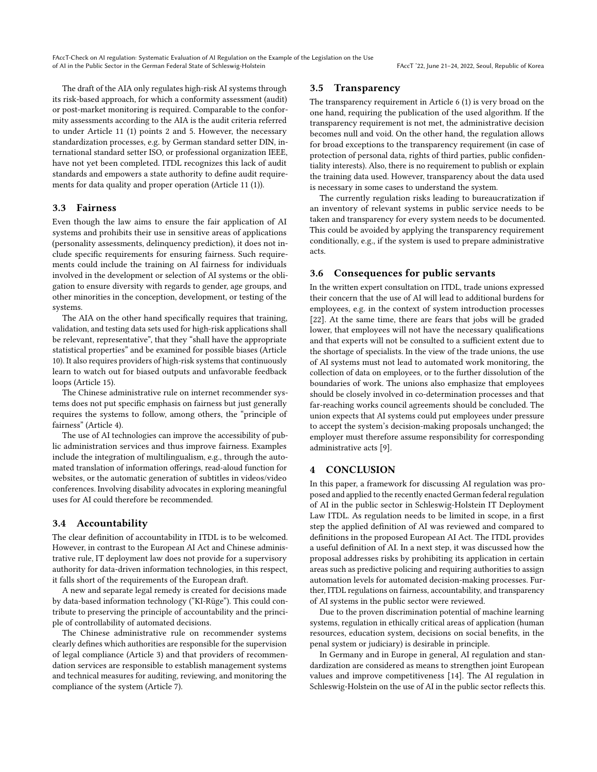The draft of the AIA only regulates high-risk AI systems through its risk-based approach, for which a conformity assessment (audit) or post-market monitoring is required. Comparable to the conformity assessments according to the AIA is the audit criteria referred to under Article 11 (1) points 2 and 5. However, the necessary standardization processes, e.g. by German standard setter DIN, international standard setter ISO, or professional organization IEEE, have not yet been completed. ITDL recognizes this lack of audit standards and empowers a state authority to define audit requirements for data quality and proper operation (Article 11 (1)).

#### 3.3 Fairness

Even though the law aims to ensure the fair application of AI systems and prohibits their use in sensitive areas of applications (personality assessments, delinquency prediction), it does not include specific requirements for ensuring fairness. Such requirements could include the training on AI fairness for individuals involved in the development or selection of AI systems or the obligation to ensure diversity with regards to gender, age groups, and other minorities in the conception, development, or testing of the systems.

The AIA on the other hand specifically requires that training, validation, and testing data sets used for high-risk applications shall be relevant, representative", that they "shall have the appropriate statistical properties" and be examined for possible biases (Article 10). It also requires providers of high-risk systems that continuously learn to watch out for biased outputs and unfavorable feedback loops (Article 15).

The Chinese administrative rule on internet recommender systems does not put specific emphasis on fairness but just generally requires the systems to follow, among others, the "principle of fairness" (Article 4).

The use of AI technologies can improve the accessibility of public administration services and thus improve fairness. Examples include the integration of multilingualism, e.g., through the automated translation of information offerings, read-aloud function for websites, or the automatic generation of subtitles in videos/video conferences. Involving disability advocates in exploring meaningful uses for AI could therefore be recommended.

## 3.4 Accountability

The clear definition of accountability in ITDL is to be welcomed. However, in contrast to the European AI Act and Chinese administrative rule, IT deployment law does not provide for a supervisory authority for data-driven information technologies, in this respect, it falls short of the requirements of the European draft.

A new and separate legal remedy is created for decisions made by data-based information technology ("KI-Rüge"). This could contribute to preserving the principle of accountability and the principle of controllability of automated decisions.

The Chinese administrative rule on recommender systems clearly defines which authorities are responsible for the supervision of legal compliance (Article 3) and that providers of recommendation services are responsible to establish management systems and technical measures for auditing, reviewing, and monitoring the compliance of the system (Article 7).

#### 3.5 Transparency

The transparency requirement in Article 6 (1) is very broad on the one hand, requiring the publication of the used algorithm. If the transparency requirement is not met, the administrative decision becomes null and void. On the other hand, the regulation allows for broad exceptions to the transparency requirement (in case of protection of personal data, rights of third parties, public confidentiality interests). Also, there is no requirement to publish or explain the training data used. However, transparency about the data used is necessary in some cases to understand the system.

The currently regulation risks leading to bureaucratization if an inventory of relevant systems in public service needs to be taken and transparency for every system needs to be documented. This could be avoided by applying the transparency requirement conditionally, e.g., if the system is used to prepare administrative acts.

#### 3.6 Consequences for public servants

In the written expert consultation on ITDL, trade unions expressed their concern that the use of AI will lead to additional burdens for employees, e.g. in the context of system introduction processes [\[22\]](#page-7-32). At the same time, there are fears that jobs will be graded lower, that employees will not have the necessary qualifications and that experts will not be consulted to a sufficient extent due to the shortage of specialists. In the view of the trade unions, the use of AI systems must not lead to automated work monitoring, the collection of data on employees, or to the further dissolution of the boundaries of work. The unions also emphasize that employees should be closely involved in co-determination processes and that far-reaching works council agreements should be concluded. The union expects that AI systems could put employees under pressure to accept the system's decision-making proposals unchanged; the employer must therefore assume responsibility for corresponding administrative acts [\[9\]](#page-7-33).

#### 4 CONCLUSION

In this paper, a framework for discussing AI regulation was proposed and applied to the recently enacted German federal regulation of AI in the public sector in Schleswig-Holstein IT Deployment Law ITDL. As regulation needs to be limited in scope, in a first step the applied definition of AI was reviewed and compared to definitions in the proposed European AI Act. The ITDL provides a useful definition of AI. In a next step, it was discussed how the proposal addresses risks by prohibiting its application in certain areas such as predictive policing and requiring authorities to assign automation levels for automated decision-making processes. Further, ITDL regulations on fairness, accountability, and transparency of AI systems in the public sector were reviewed.

Due to the proven discrimination potential of machine learning systems, regulation in ethically critical areas of application (human resources, education system, decisions on social benefits, in the penal system or judiciary) is desirable in principle.

In Germany and in Europe in general, AI regulation and standardization are considered as means to strengthen joint European values and improve competitiveness [\[14\]](#page-7-20). The AI regulation in Schleswig-Holstein on the use of AI in the public sector reflects this.